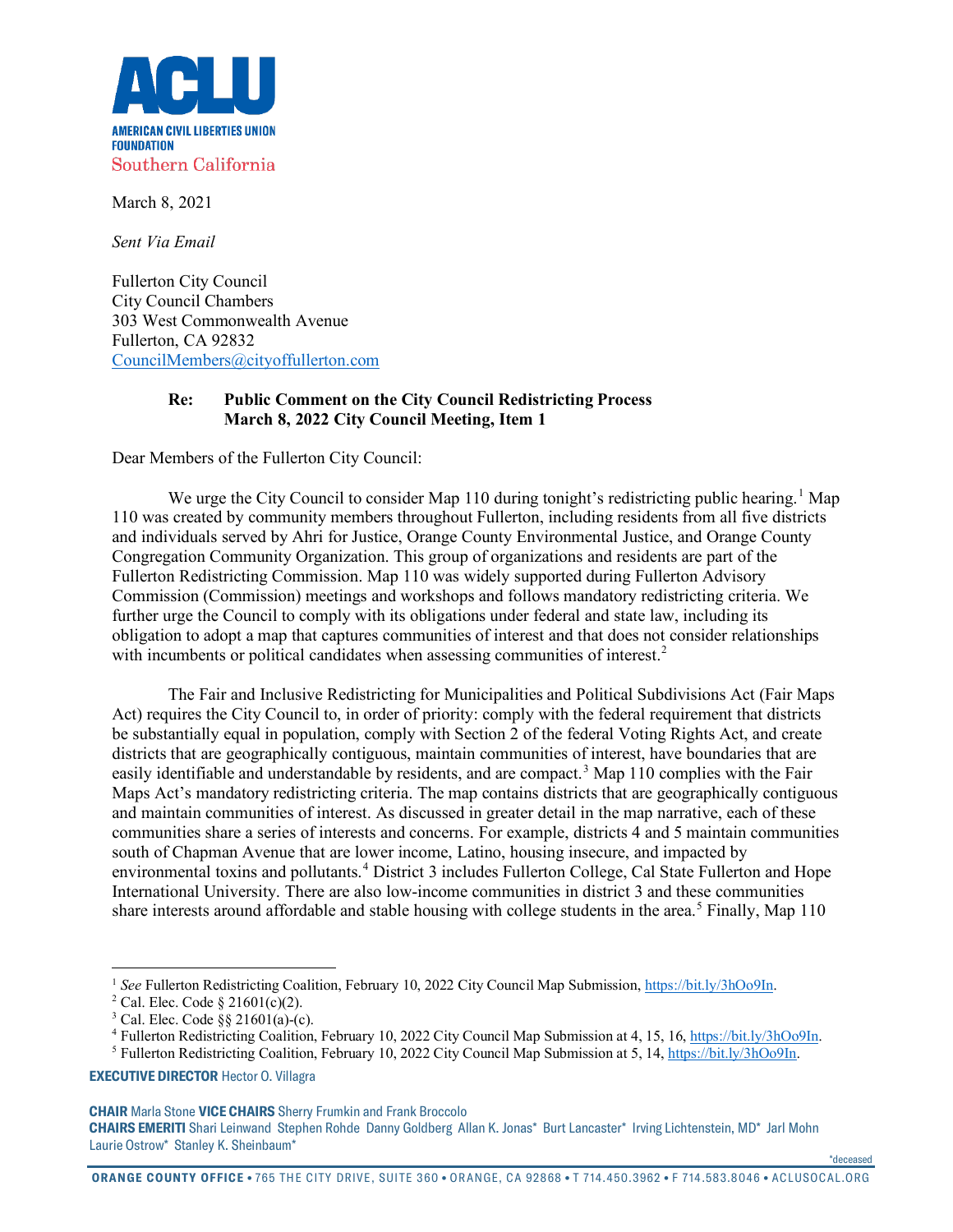

March 8, 2021

*Sent Via Email*

Fullerton City Council City Council Chambers 303 West Commonwealth Avenue Fullerton, CA 92832 [CouncilMembers@cityoffullerton.com](mailto:CouncilMembers@cityoffullerton.com)

## **Re: Public Comment on the City Council Redistricting Process March 8, 2022 City Council Meeting, Item 1**

Dear Members of the Fullerton City Council:

We urge the City Council to consider Map [1](#page-0-0)10 during tonight's redistricting public hearing.<sup>1</sup> Map 110 was created by community members throughout Fullerton, including residents from all five districts and individuals served by Ahri for Justice, Orange County Environmental Justice, and Orange County Congregation Community Organization. This group of organizations and residents are part of the Fullerton Redistricting Commission. Map 110 was widely supported during Fullerton Advisory Commission (Commission) meetings and workshops and follows mandatory redistricting criteria. We further urge the Council to comply with its obligations under federal and state law, including its obligation to adopt a map that captures communities of interest and that does not consider relationships with incumbents or political candidates when assessing communities of interest.<sup>[2](#page-0-1)</sup>

The Fair and Inclusive Redistricting for Municipalities and Political Subdivisions Act (Fair Maps Act) requires the City Council to, in order of priority: comply with the federal requirement that districts be substantially equal in population, comply with Section 2 of the federal Voting Rights Act, and create districts that are geographically contiguous, maintain communities of interest, have boundaries that are easily identifiable and understandable by residents, and are compact.<sup>[3](#page-0-2)</sup> Map 110 complies with the Fair Maps Act's mandatory redistricting criteria. The map contains districts that are geographically contiguous and maintain communities of interest. As discussed in greater detail in the map narrative, each of these communities share a series of interests and concerns. For example, districts 4 and 5 maintain communities south of Chapman Avenue that are lower income, Latino, housing insecure, and impacted by environmental toxins and pollutants.<sup>[4](#page-0-3)</sup> District 3 includes Fullerton College, Cal State Fullerton and Hope International University. There are also low-income communities in district 3 and these communities share interests around affordable and stable housing with college students in the area.<sup>[5](#page-0-4)</sup> Finally, Map 110

<span id="page-0-4"></span><span id="page-0-3"></span><span id="page-0-2"></span>**EXECUTIVE DIRECTOR** Hector O. Villagra

**CHAIR** Marla Stone **VICE CHAIRS** Sherry Frumkin and Frank Broccolo

\*deceased

<span id="page-0-1"></span><span id="page-0-0"></span><sup>&</sup>lt;sup>1</sup> *See* Fullerton Redistricting Coalition, February 10, 2022 City Council Map Submission[, https://bit.ly/3hOo9In.](https://bit.ly/3hOo9In)<br><sup>2</sup> Cal. Elec. Code § 21601(c)(2).

 $3$  Cal. Elec. Code  $\S$ § 21601(a)-(c).

<sup>4</sup> Fullerton Redistricting Coalition, February 10, 2022 City Council Map Submission at 4, 15, 16[, https://bit.ly/3hOo9In.](https://bit.ly/3hOo9In)

<sup>5</sup> Fullerton Redistricting Coalition, February 10, 2022 City Council Map Submission at 5, 14, [https://bit.ly/3hOo9In.](https://bit.ly/3hOo9In)

**CHAIRS EMERITI** Shari Leinwand Stephen Rohde Danny Goldberg Allan K. Jonas\* Burt Lancaster\* Irving Lichtenstein, MD\* Jarl Mohn Laurie Ostrow\* Stanley K. Sheinbaum\*